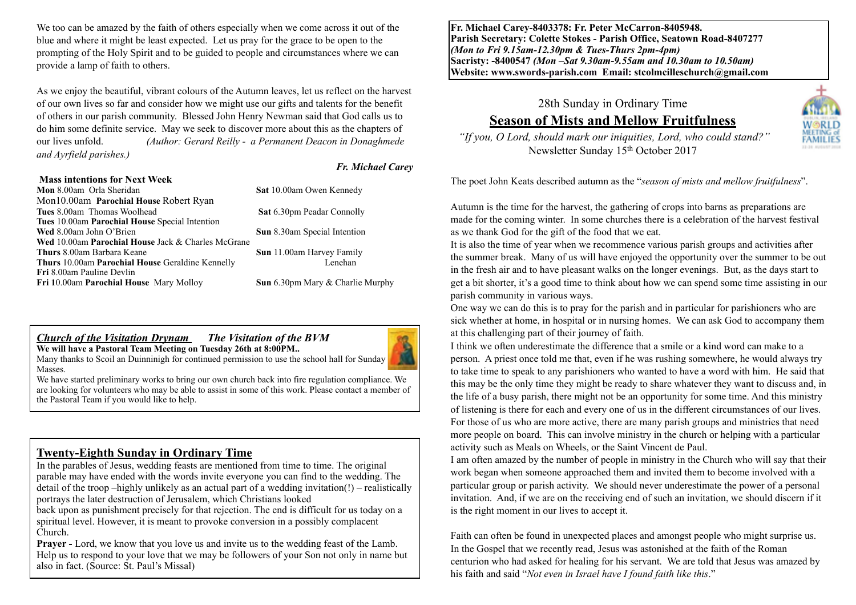We too can be amazed by the faith of others especially when we come across it out of the blue and where it might be least expected. Let us pray for the grace to be open to the prompting of the Holy Spirit and to be guided to people and circumstances where we can provide a lamp of faith to others.

As we enjoy the beautiful, vibrant colours of the Autumn leaves, let us reflect on the harvest of our own lives so far and consider how we might use our gifts and talents for the benefit of others in our parish community. Blessed John Henry Newman said that God calls us to do him some definite service. May we seek to discover more about this as the chapters of our lives unfold. *(Author: Gerard Reilly - a Permanent Deacon in Donaghmede and Ayrfield parishes.)* 

#### **Mass intentions for Next Week**

#### *Fr. Michael Carey*

| Mon 8.00am Orla Sheridan                                | Sat 10.00am Owen Kennedy            |
|---------------------------------------------------------|-------------------------------------|
| Mon10.00am Parochial House Robert Ryan                  |                                     |
| <b>Tues 8.00am Thomas Woolhead</b>                      | Sat 6.30pm Peadar Connolly          |
| Tues 10.00am Parochial House Special Intention          |                                     |
| Wed 8.00am John O'Brien                                 | <b>Sun</b> 8.30am Special Intention |
| Wed 10.00am Parochial House Jack & Charles McGrane      |                                     |
| <b>Thurs</b> 8.00am Barbara Keane                       | <b>Sun</b> 11.00am Harvey Family    |
| <b>Thurs 10.00am Parochial House Geraldine Kennelly</b> | Lenehan                             |
| <b>Fri</b> 8.00am Pauline Devlin                        |                                     |
| Fri 10.00am Parochial House Mary Molloy                 | Sun 6.30pm Mary & Charlie Murphy    |
|                                                         |                                     |

#### *Church of the Visitation Drynam**The Visitation of the BVM* **We will have a Pastoral Team Meeting on Tuesday 26th at 8:00PM..**



Many thanks to Scoil an Duinninigh for continued permission to use the school hall for Sunday **Masses** 

We have started preliminary works to bring our own church back into fire regulation compliance. We are looking for volunteers who may be able to assist in some of this work. Please contact a member of the Pastoral Team if you would like to help.

#### **Twenty-Eighth Sunday in Ordinary Time**

In the parables of Jesus, wedding feasts are mentioned from time to time. The original parable may have ended with the words invite everyone you can find to the wedding. The detail of the troop –highly unlikely as an actual part of a wedding invitation(!) – realistically portrays the later destruction of Jerusalem, which Christians looked

back upon as punishment precisely for that rejection. The end is difficult for us today on a spiritual level. However, it is meant to provoke conversion in a possibly complacent Church.

**Prayer -** Lord, we know that you love us and invite us to the wedding feast of the Lamb. Help us to respond to your love that we may be followers of your Son not only in name but also in fact. (Source: St. Paul's Missal)

**Fr. Michael Carey-8403378: Fr. Peter McCarron-8405948. Parish Secretary: Colette Stokes - Parish Office, Seatown Road-8407277**  *(Mon to Fri 9.15am-12.30pm & Tues-Thurs 2pm-4pm)*  **Sacristy: -8400547** *(Mon –Sat 9.30am-9.55am and 10.30am to 10.50am)* **Website: [www.swords-parish.com Email:](http://www.swords-parish.com%20%20email) stcolmcilleschurch@gmail.com**

28th Sunday in Ordinary Time

## **Season of Mists and Mellow Fruitfulness**

VORLD

 *"If you, O Lord, should mark our iniquities, Lord, who could stand?"*  Newsletter Sunday 15th October 2017

The poet John Keats described autumn as the "*season of mists and mellow fruitfulness*".

Autumn is the time for the harvest, the gathering of crops into barns as preparations are made for the coming winter. In some churches there is a celebration of the harvest festival as we thank God for the gift of the food that we eat.

It is also the time of year when we recommence various parish groups and activities after the summer break. Many of us will have enjoyed the opportunity over the summer to be out in the fresh air and to have pleasant walks on the longer evenings. But, as the days start to get a bit shorter, it's a good time to think about how we can spend some time assisting in our parish community in various ways.

One way we can do this is to pray for the parish and in particular for parishioners who are sick whether at home, in hospital or in nursing homes. We can ask God to accompany them at this challenging part of their journey of faith.

I think we often underestimate the difference that a smile or a kind word can make to a person. A priest once told me that, even if he was rushing somewhere, he would always try to take time to speak to any parishioners who wanted to have a word with him. He said that this may be the only time they might be ready to share whatever they want to discuss and, in the life of a busy parish, there might not be an opportunity for some time. And this ministry of listening is there for each and every one of us in the different circumstances of our lives. For those of us who are more active, there are many parish groups and ministries that need more people on board. This can involve ministry in the church or helping with a particular activity such as Meals on Wheels, or the Saint Vincent de Paul.

I am often amazed by the number of people in ministry in the Church who will say that their work began when someone approached them and invited them to become involved with a particular group or parish activity. We should never underestimate the power of a personal invitation. And, if we are on the receiving end of such an invitation, we should discern if it is the right moment in our lives to accept it.

Faith can often be found in unexpected places and amongst people who might surprise us. In the Gospel that we recently read, Jesus was astonished at the faith of the Roman centurion who had asked for healing for his servant. We are told that Jesus was amazed by his faith and said "*Not even in Israel have I found faith like this*."